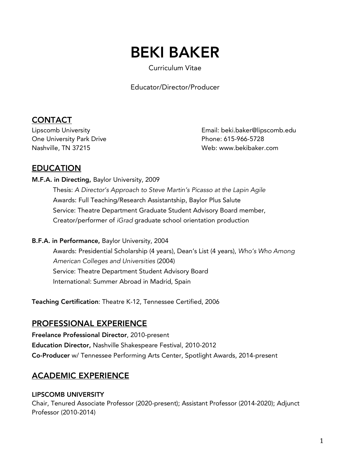# BEKI BAKER

Curriculum Vitae

Educator/Director/Producer

## **CONTACT**

One University Park Drive **Phone: 615-966-5728** 

Lipscomb University Email: beki.baker@lipscomb.edu Nashville, TN 37215 Web: www.bekibaker.com

## EDUCATION

#### M.F.A. in Directing, Baylor University, 2009

Thesis: *A Director's Approach to Steve Martin's Picasso at the Lapin Agile* Awards: Full Teaching/Research Assistantship, Baylor Plus Salute Service: Theatre Department Graduate Student Advisory Board member, Creator/performer of *iGrad* graduate school orientation production

#### B.F.A. in Performance, Baylor University, 2004

Awards: Presidential Scholarship (4 years), Dean's List (4 years), *Who's Who Among American Colleges and Universities* (2004) Service: Theatre Department Student Advisory Board International: Summer Abroad in Madrid, Spain

Teaching Certification: Theatre K-12, Tennessee Certified, 2006

## PROFESSIONAL EXPERIENCE

Freelance Professional Director, 2010-present Education Director, Nashville Shakespeare Festival, 2010-2012 Co-Producer w/ Tennessee Performing Arts Center, Spotlight Awards, 2014-present

## ACADEMIC EXPERIENCE

#### LIPSCOMB UNIVERSITY

Chair, Tenured Associate Professor (2020-present); Assistant Professor (2014-2020); Adjunct Professor (2010-2014)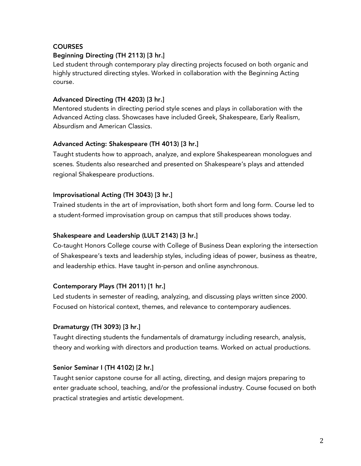#### **COURSES**

#### Beginning Directing (TH 2113) [3 hr.]

Led student through contemporary play directing projects focused on both organic and highly structured directing styles. Worked in collaboration with the Beginning Acting course.

#### Advanced Directing (TH 4203) [3 hr.]

Mentored students in directing period style scenes and plays in collaboration with the Advanced Acting class. Showcases have included Greek, Shakespeare, Early Realism, Absurdism and American Classics.

#### Advanced Acting: Shakespeare (TH 4013) [3 hr.]

Taught students how to approach, analyze, and explore Shakespearean monologues and scenes. Students also researched and presented on Shakespeare's plays and attended regional Shakespeare productions.

#### Improvisational Acting (TH 3043) [3 hr.]

Trained students in the art of improvisation, both short form and long form. Course led to a student-formed improvisation group on campus that still produces shows today.

#### Shakespeare and Leadership (LULT 2143) [3 hr.]

Co-taught Honors College course with College of Business Dean exploring the intersection of Shakespeare's texts and leadership styles, including ideas of power, business as theatre, and leadership ethics. Have taught in-person and online asynchronous.

#### Contemporary Plays (TH 2011) [1 hr.]

Led students in semester of reading, analyzing, and discussing plays written since 2000. Focused on historical context, themes, and relevance to contemporary audiences.

#### Dramaturgy (TH 3093) [3 hr.]

Taught directing students the fundamentals of dramaturgy including research, analysis, theory and working with directors and production teams. Worked on actual productions.

#### Senior Seminar I (TH 4102) [2 hr.]

Taught senior capstone course for all acting, directing, and design majors preparing to enter graduate school, teaching, and/or the professional industry. Course focused on both practical strategies and artistic development.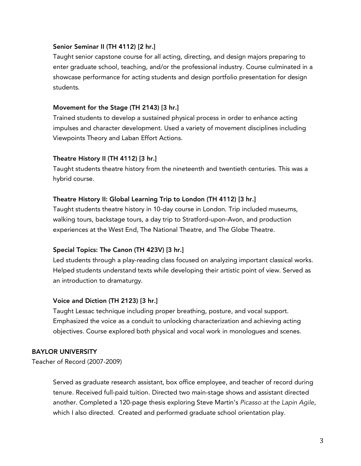#### Senior Seminar II (TH 4112) [2 hr.]

Taught senior capstone course for all acting, directing, and design majors preparing to enter graduate school, teaching, and/or the professional industry. Course culminated in a showcase performance for acting students and design portfolio presentation for design students.

#### Movement for the Stage (TH 2143) [3 hr.]

Trained students to develop a sustained physical process in order to enhance acting impulses and character development. Used a variety of movement disciplines including Viewpoints Theory and Laban Effort Actions.

#### Theatre History II (TH 4112) [3 hr.]

Taught students theatre history from the nineteenth and twentieth centuries. This was a hybrid course.

#### Theatre History II: Global Learning Trip to London (TH 4112) [3 hr.]

Taught students theatre history in 10-day course in London. Trip included museums, walking tours, backstage tours, a day trip to Stratford-upon-Avon, and production experiences at the West End, The National Theatre, and The Globe Theatre.

#### Special Topics: The Canon (TH 423V) [3 hr.]

Led students through a play-reading class focused on analyzing important classical works. Helped students understand texts while developing their artistic point of view. Served as an introduction to dramaturgy.

#### Voice and Diction (TH 2123) [3 hr.]

Taught Lessac technique including proper breathing, posture, and vocal support. Emphasized the voice as a conduit to unlocking characterization and achieving acting objectives. Course explored both physical and vocal work in monologues and scenes.

#### BAYLOR UNIVERSITY

Teacher of Record (2007-2009)

Served as graduate research assistant, box office employee, and teacher of record during tenure. Received full-paid tuition. Directed two main-stage shows and assistant directed another. Completed a 120-page thesis exploring Steve Martin's *Picasso at the Lapin Agile*, which I also directed. Created and performed graduate school orientation play.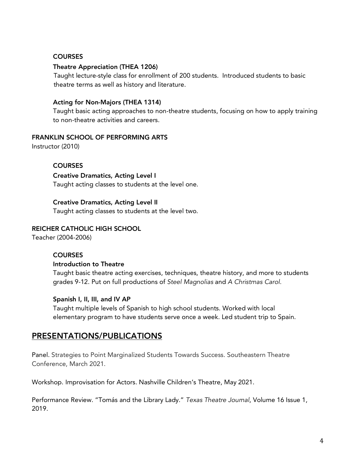#### **COURSES**

#### Theatre Appreciation (THEA 1206)

 Taught lecture-style class for enrollment of 200 students. Introduced students to basic theatre terms as well as history and literature.

#### Acting for Non-Majors (THEA 1314)

Taught basic acting approaches to non-theatre students, focusing on how to apply training to non-theatre activities and careers.

#### FRANKLIN SCHOOL OF PERFORMING ARTS

Instructor (2010)

#### **COURSES**

Creative Dramatics, Acting Level I Taught acting classes to students at the level one.

## Creative Dramatics, Acting Level II

Taught acting classes to students at the level two.

#### REICHER CATHOLIC HIGH SCHOOL

Teacher (2004-2006)

#### **COURSES**

#### Introduction to Theatre

Taught basic theatre acting exercises, techniques, theatre history, and more to students grades 9-12. Put on full productions of *Steel Magnolias* and *A Christmas Carol.*

#### Spanish I, II, III, and IV AP

Taught multiple levels of Spanish to high school students. Worked with local elementary program to have students serve once a week. Led student trip to Spain.

#### PRESENTATIONS/PUBLICATIONS

Panel. Strategies to Point Marginalized Students Towards Success. Southeastern Theatre Conference, March 2021.

Workshop. Improvisation for Actors. Nashville Children's Theatre, May 2021.

Performance Review. "Tomás and the Library Lady." *Texas Theatre Journal*, Volume 16 Issue 1, 2019.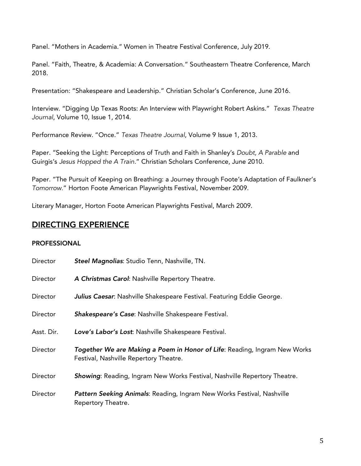Panel. "Mothers in Academia." Women in Theatre Festival Conference, July 2019.

Panel. "Faith, Theatre, & Academia: A Conversation." Southeastern Theatre Conference, March 2018.

Presentation: "Shakespeare and Leadership." Christian Scholar's Conference, June 2016.

Interview. "Digging Up Texas Roots: An Interview with Playwright Robert Askins." *Texas Theatre Journal*, Volume 10, Issue 1, 2014.

Performance Review. "Once." *Texas Theatre Journal*, Volume 9 Issue 1, 2013.

Paper. "Seeking the Light: Perceptions of Truth and Faith in Shanley's *Doubt, A Parable* and Guirgis's *Jesus Hopped the A Train.*" Christian Scholars Conference, June 2010.

Paper. "The Pursuit of Keeping on Breathing: a Journey through Foote's Adaptation of Faulkner's *Tomorrow.*" Horton Foote American Playwrights Festival, November 2009.

Literary Manager, Horton Foote American Playwrights Festival, March 2009.

#### DIRECTING EXPERIENCE

#### PROFESSIONAL

| Director   | Steel Magnolias: Studio Tenn, Nashville, TN.                                                                        |
|------------|---------------------------------------------------------------------------------------------------------------------|
| Director   | A Christmas Carol: Nashville Repertory Theatre.                                                                     |
| Director   | Julius Caesar: Nashville Shakespeare Festival. Featuring Eddie George.                                              |
| Director   | Shakespeare's Case: Nashville Shakespeare Festival.                                                                 |
| Asst. Dir. | Love's Labor's Lost: Nashville Shakespeare Festival.                                                                |
| Director   | Together We are Making a Poem in Honor of Life: Reading, Ingram New Works<br>Festival, Nashville Repertory Theatre. |
| Director   | Showing: Reading, Ingram New Works Festival, Nashville Repertory Theatre.                                           |
| Director   | Pattern Seeking Animals: Reading, Ingram New Works Festival, Nashville<br>Repertory Theatre.                        |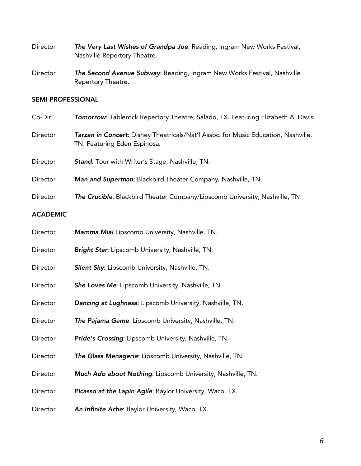- Director *The Very Last Wishes of Grandpa Joe*: Reading, Ingram New Works Festival, Nashville Repertory Theatre.
- Director *The Second Avenue Subway*: Reading, Ingram New Works Festival, Nashville Repertory Theatre.

#### SEMI-PROFESSIONAL

- Co-Dir. *Tomorrow*: Tablerock Repertory Theatre, Salado, TX. Featuring Elizabeth A. Davis.
- Director *Tarzan in Concert*: Disney Theatricals/Nat'l Assoc. for Music Education, Nashville, TN. Featuring Eden Espinosa.
- Director *Stand*: Tour with Writer's Stage, Nashville, TN.
- Director *Man and Superman*: Blackbird Theater Company, Nashville, TN.
- Director *The Crucible*: Blackbird Theater Company/Lipscomb University, Nashville, TN.

#### ACADEMIC

| Director | Mamma Mia! Lipscomb University, Nashville, TN.              |
|----------|-------------------------------------------------------------|
| Director | Bright Star: Lipscomb University, Nashville, TN.            |
| Director | Silent Sky: Lipscomb University, Nashville, TN.             |
| Director | She Loves Me: Lipscomb University, Nashville, TN.           |
| Director | Dancing at Lughnasa: Lipscomb University, Nashville, TN.    |
| Director | The Pajama Game: Lipscomb University, Nashville, TN.        |
| Director | Pride's Crossing: Lipscomb University, Nashville, TN.       |
| Director | The Glass Menagerie: Lipscomb University, Nashville, TN.    |
| Director | Much Ado about Nothing: Lipscomb University, Nashville, TN. |
| Director | Picasso at the Lapin Agile: Baylor University, Waco, TX.    |
| Director | An Infinite Ache: Baylor University, Waco, TX.              |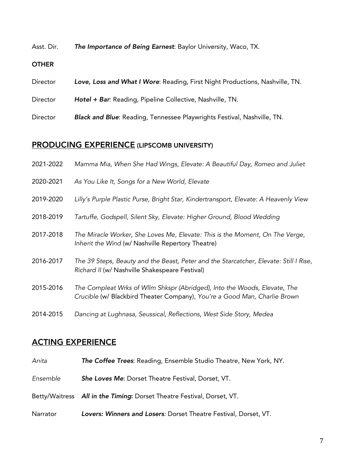Asst. Dir. *The Importance of Being Earnest*: Baylor University, Waco, TX.

#### **OTHER**

- Director *Love, Loss and What I Wore*: Reading, First Night Productions, Nashville, TN.
- Director *Hotel + Bar*: Reading, Pipeline Collective, Nashville, TN.
- Director *Black and Blue*: Reading, Tennessee Playwrights Festival, Nashville, TN.

## PRODUCING EXPERIENCE (LIPSCOMB UNIVERSITY)

| 2021-2022 | Mamma Mia, When She Had Wings, Elevate: A Beautiful Day, Romeo and Juliet                                                                              |
|-----------|--------------------------------------------------------------------------------------------------------------------------------------------------------|
| 2020-2021 | As You Like It, Songs for a New World, Elevate                                                                                                         |
| 2019-2020 | Lilly's Purple Plastic Purse, Bright Star, Kindertransport, Elevate: A Heavenly View                                                                   |
| 2018-2019 | Tartuffe, Godspell, Silent Sky, Elevate: Higher Ground, Blood Wedding                                                                                  |
| 2017-2018 | The Miracle Worker, She Loves Me, Elevate: This is the Moment, On The Verge,<br>Inherit the Wind (w/ Nashville Repertory Theatre)                      |
| 2016-2017 | The 39 Steps, Beauty and the Beast, Peter and the Starcatcher, Elevate: Still I Rise,<br>Richard II (w/ Nashville Shakespeare Festival)                |
| 2015-2016 | The Compleat Wrks of Wllm Shkspr (Abridged), Into the Woods, Elevate, The<br>Crucible (w/ Blackbird Theater Company), You're a Good Man, Charlie Brown |
| 2014-2015 | Dancing at Lughnasa, Seussical, Reflections, West Side Story, Medea                                                                                    |

## ACTING EXPERIENCE

- *Anita The Coffee Trees*: Reading, Ensemble Studio Theatre, New York, NY.
- *Ensemble She Loves Me*: Dorset Theatre Festival, Dorset, VT.
- Betty/Waitress *All in the Timing*: Dorset Theatre Festival, Dorset, VT.
- Narrator *Lovers: Winners and Losers:* Dorset Theatre Festival, Dorset, VT.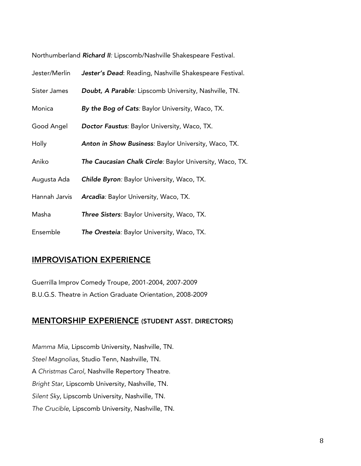| Northumberland Richard II: Lipscomb/Nashville Shakespeare Festival. |  |  |  |
|---------------------------------------------------------------------|--|--|--|
|---------------------------------------------------------------------|--|--|--|

| Jester/Merlin | Jester's Dead: Reading, Nashville Shakespeare Festival.  |
|---------------|----------------------------------------------------------|
| Sister James  | Doubt, A Parable: Lipscomb University, Nashville, TN.    |
| Monica        | By the Bog of Cats: Baylor University, Waco, TX.         |
| Good Angel    | <b>Doctor Faustus: Baylor University, Waco, TX.</b>      |
| Holly         | Anton in Show Business: Baylor University, Waco, TX.     |
| Aniko         | The Caucasian Chalk Circle: Baylor University, Waco, TX. |
| Augusta Ada   | Childe Byron: Baylor University, Waco, TX.               |
| Hannah Jarvis | Arcadia: Baylor University, Waco, TX.                    |
| Masha         | <b>Three Sisters:</b> Baylor University, Waco, TX.       |
| Ensemble      | The Oresteia: Baylor University, Waco, TX.               |

## IMPROVISATION EXPERIENCE

Guerrilla Improv Comedy Troupe, 2001-2004, 2007-2009 B.U.G.S. Theatre in Action Graduate Orientation, 2008-2009

## MENTORSHIP EXPERIENCE (STUDENT ASST. DIRECTORS)

*Mamma Mia,* Lipscomb University, Nashville, TN. *Steel Magnolias*, Studio Tenn, Nashville, TN. A *Christmas Carol*, Nashville Repertory Theatre. *Bright Star*, Lipscomb University, Nashville, TN. *Silent Sky*, Lipscomb University, Nashville, TN. *The Crucible*, Lipscomb University, Nashville, TN.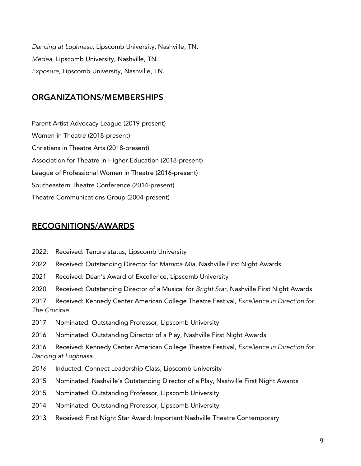*Dancing at Lughnasa*, Lipscomb University, Nashville, TN. *Medea*, Lipscomb University, Nashville, TN. *Exposure*, Lipscomb University, Nashville, TN.

#### ORGANIZATIONS/MEMBERSHIPS

Parent Artist Advocacy League (2019-present) Women in Theatre (2018-present) Christians in Theatre Arts (2018-present) Association for Theatre in Higher Education (2018-present) League of Professional Women in Theatre (2016-present) Southeastern Theatre Conference (2014-present) Theatre Communications Group (2004-present)

#### RECOGNITIONS/AWARDS

- 2022: Received: Tenure status, Lipscomb University
- 2022 Received: Outstanding Director for *Mamma Mia*, Nashville First Night Awards
- 2021 Received: Dean's Award of Excellence, Lipscomb University
- 2020 Received: Outstanding Director of a Musical for *Bright Star*, Nashville First Night Awards

2017 Received: Kennedy Center American College Theatre Festival, *Excellence in Direction for The Crucible*

- 2017 Nominated: Outstanding Professor, Lipscomb University
- 2016 Nominated: Outstanding Director of a Play, Nashville First Night Awards

2016 Received: Kennedy Center American College Theatre Festival, *Excellence in Direction for Dancing at Lughnasa*

- *2016* Inducted: Connect Leadership Class, Lipscomb University
- 2015 Nominated: Nashville's Outstanding Director of a Play, Nashville First Night Awards
- 2015 Nominated: Outstanding Professor, Lipscomb University
- 2014 Nominated: Outstanding Professor, Lipscomb University
- 2013 Received: First Night Star Award: Important Nashville Theatre Contemporary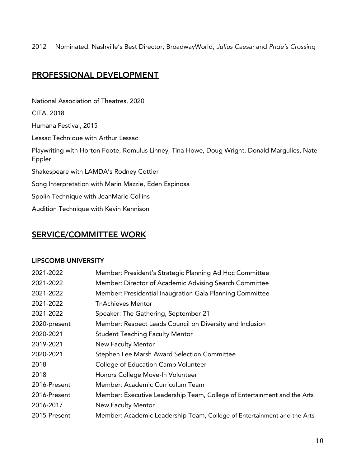2012 Nominated: Nashville's Best Director, BroadwayWorld, *Julius Caesar* and *Pride's Crossing*

## PROFESSIONAL DEVELOPMENT

National Association of Theatres, 2020 CITA, 2018 Humana Festival, 2015 Lessac Technique with Arthur Lessac Playwriting with Horton Foote, Romulus Linney, Tina Howe, Doug Wright, Donald Margulies, Nate Eppler Shakespeare with LAMDA's Rodney Cottier Song Interpretation with Marin Mazzie, Eden Espinosa Spolin Technique with JeanMarie Collins Audition Technique with Kevin Kennison

## SERVICE/COMMITTEE WORK

#### LIPSCOMB UNIVERSITY

| 2021-2022    | Member: President's Strategic Planning Ad Hoc Committee                  |
|--------------|--------------------------------------------------------------------------|
| 2021-2022    | Member: Director of Academic Advising Search Committee                   |
| 2021-2022    | Member: Presidential Inaugration Gala Planning Committee                 |
| 2021-2022    | <b>TnAchieves Mentor</b>                                                 |
| 2021-2022    | Speaker: The Gathering, September 21                                     |
| 2020-present | Member: Respect Leads Council on Diversity and Inclusion                 |
| 2020-2021    | <b>Student Teaching Faculty Mentor</b>                                   |
| 2019-2021    | <b>New Faculty Mentor</b>                                                |
| 2020-2021    | Stephen Lee Marsh Award Selection Committee                              |
| 2018         | College of Education Camp Volunteer                                      |
| 2018         | Honors College Move-In Volunteer                                         |
| 2016-Present | Member: Academic Curriculum Team                                         |
| 2016-Present | Member: Executive Leadership Team, College of Entertainment and the Arts |
| 2016-2017    | New Faculty Mentor                                                       |
| 2015-Present | Member: Academic Leadership Team, College of Entertainment and the Arts  |
|              |                                                                          |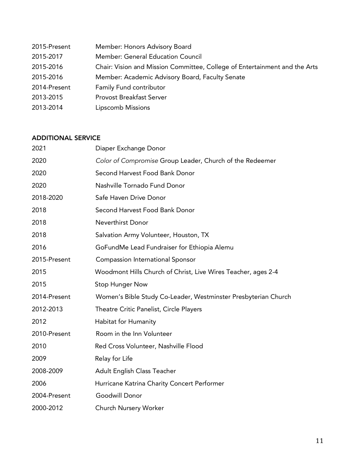| 2015-Present | Member: Honors Advisory Board                                              |
|--------------|----------------------------------------------------------------------------|
| 2015-2017    | Member: General Education Council                                          |
| 2015-2016    | Chair: Vision and Mission Committee, College of Entertainment and the Arts |
| 2015-2016    | Member: Academic Advisory Board, Faculty Senate                            |
| 2014-Present | Family Fund contributor                                                    |
| 2013-2015    | <b>Provost Breakfast Server</b>                                            |
| 2013-2014    | Lipscomb Missions                                                          |

#### ADDITIONAL SERVICE

| 2021         | Diaper Exchange Donor                                          |
|--------------|----------------------------------------------------------------|
| 2020         | Color of Compromise Group Leader, Church of the Redeemer       |
| 2020         | Second Harvest Food Bank Donor                                 |
| 2020         | Nashville Tornado Fund Donor                                   |
| 2018-2020    | Safe Haven Drive Donor                                         |
| 2018         | Second Harvest Food Bank Donor                                 |
| 2018         | <b>Neverthirst Donor</b>                                       |
| 2018         | Salvation Army Volunteer, Houston, TX                          |
| 2016         | GoFundMe Lead Fundraiser for Ethiopia Alemu                    |
| 2015-Present | Compassion International Sponsor                               |
| 2015         | Woodmont Hills Church of Christ, Live Wires Teacher, ages 2-4  |
| 2015         | <b>Stop Hunger Now</b>                                         |
| 2014-Present | Women's Bible Study Co-Leader, Westminster Presbyterian Church |
| 2012-2013    | Theatre Critic Panelist, Circle Players                        |
| 2012         | Habitat for Humanity                                           |
| 2010-Present | Room in the Inn Volunteer                                      |
| 2010         | Red Cross Volunteer, Nashville Flood                           |
| 2009         | Relay for Life                                                 |
| 2008-2009    | Adult English Class Teacher                                    |
| 2006         | Hurricane Katrina Charity Concert Performer                    |
| 2004-Present | Goodwill Donor                                                 |
| 2000-2012    | Church Nursery Worker                                          |